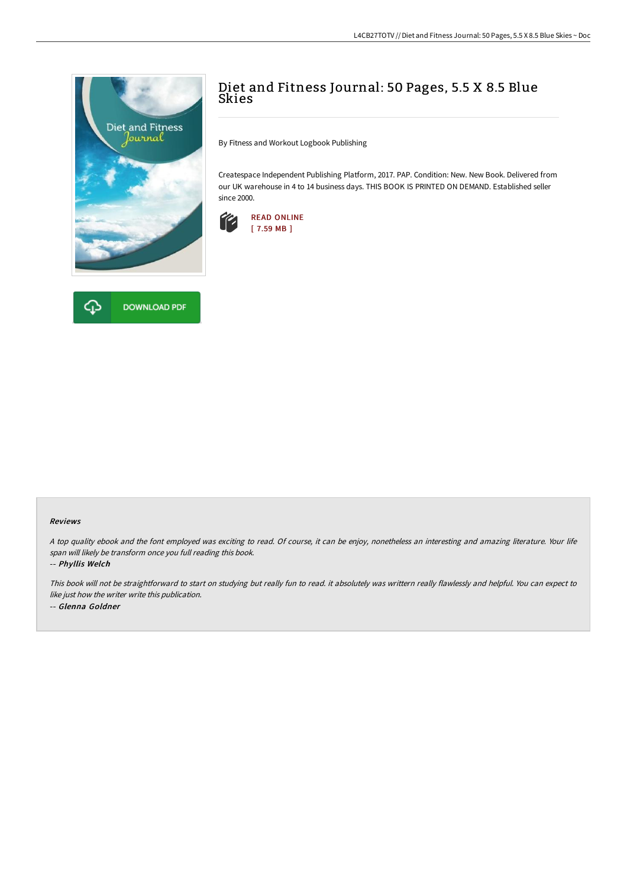

## **DOWNLOAD PDF**

## Diet and Fitness Journal: 50 Pages, 5.5 X 8.5 Blue **Skies**

By Fitness and Workout Logbook Publishing

Createspace Independent Publishing Platform, 2017. PAP. Condition: New. New Book. Delivered from our UK warehouse in 4 to 14 business days. THIS BOOK IS PRINTED ON DEMAND. Established seller since 2000.



## Reviews

<sup>A</sup> top quality ebook and the font employed was exciting to read. Of course, it can be enjoy, nonetheless an interesting and amazing literature. Your life span will likely be transform once you full reading this book.

-- Phyllis Welch

This book will not be straightforward to start on studying but really fun to read. it absolutely was writtern really flawlessly and helpful. You can expect to like just how the writer write this publication. -- Glenna Goldner